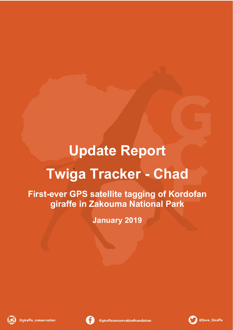## **Update Report Twiga Tracker - Chad**

**First-ever GPS satellite tagging of Kordofan giraffe in Zakouma National Park**

**January 2019**





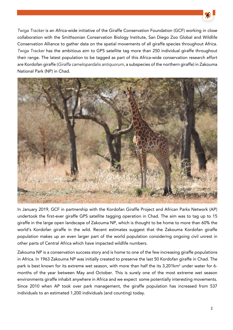

*Twiga Tracker* is an Africa-wide initiative of the Giraffe Conservation Foundation (GCF) working in close collaboration with the Smithsonian Conservation Biology Institute, San Diego Zoo Global and Wildlife Conservation Alliance to gather data on the spatial movements of all giraffe species throughout Africa. *Twiga Tracker* has the ambitious aim to GPS satellite tag more than 250 individual giraffe throughout their range. The latest population to be tagged as part of this Africa-wide conservation research effort are Kordofan giraffe (*Giraffa camelopardalis antiquorum*, a subspecies of the northern giraffe) in Zakouma National Park (NP) in Chad.



In January 2019, GCF in partnership with the Kordofan Giraffe Project and African Parks Network (AP) undertook the first-ever giraffe GPS satellite tagging operation in Chad. The aim was to tag up to 15 giraffe in the large open landscape of Zakouma NP, which is thought to be home to more than 60% the world's Kordofan giraffe in the wild. Recent estimates suggest that the Zakouma Kordofan giraffe population makes up an even larger part of the world population considering ongoing civil unrest in other parts of Central Africa which have impacted wildlife numbers.

Zakouma NP is a conservation success story and is home to one of the few increasing giraffe populations in Africa. In 1963 Zakouma NP was initially created to preserve the last 50 Kordofan giraffe in Chad. The park is best known for its extreme wet season, with more than half the its 3,201km<sup>2</sup> under water for 6months of the year between May and October. This is surely one of the most extreme wet season environments giraffe inhabit anywhere in Africa and we expect some potentially interesting movements. Since 2010 when AP took over park management, the giraffe population has increased from 537 individuals to an estimated 1,200 individuals (and counting) today.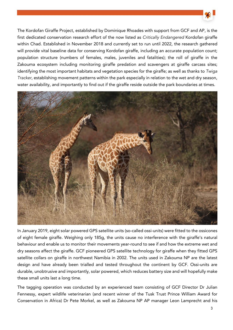

The Kordofan Giraffe Project, established by Dominique Rhoades with support from GCF and AP, is the first dedicated conservation research effort of the now listed as *Critically Endangered* Kordofan giraffe within Chad. Established in November 2018 and currently set to run until 2022, the research gathered will provide vital baseline data for conserving Kordofan giraffe, including an accurate population count; population structure (numbers of females, males, juveniles and fatalities); the roll of giraffe in the Zakouma ecosystem including monitoring giraffe predation and scavengers at giraffe carcass sites; identifying the most important habitats and vegetation species for the giraffe; as well as thanks to *Twiga Tracker*, establishing movement patterns within the park especially in relation to the wet and dry season, water availability, and importantly to find out if the giraffe reside outside the park boundaries at times.



In January 2019, eight solar powered GPS satellite units (so-called ossi-units) were fitted to the ossicones of eight female giraffe. Weighing only 185g, the units cause no interference with the giraffe's natural behaviour and enable us to monitor their movements year-round to see if and how the extreme wet and dry seasons affect the giraffe. GCF pioneered GPS satellite technology for giraffe when they fitted GPS satellite collars on giraffe in northwest Namibia in 2002. The units used in Zakouma NP are the latest design and have already been trialled and tested throughout the continent by GCF. Ossi-units are durable, unobtrusive and importantly, solar powered, which reduces battery size and will hopefully make these small units last a long time.

The tagging operation was conducted by an experienced team consisting of GCF Director Dr Julian Fennessy, expert wildlife veterinarian (and recent winner of the Tusk Trust Prince William Award for Conservation in Africa) Dr Pete Morkel, as well as Zakouma NP AP manager Leon Lamprecht and his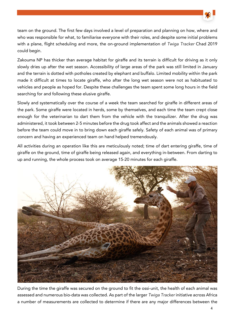

team on the ground. The first few days involved a level of preparation and planning on how, where and who was responsible for what, to familiarise everyone with their roles, and despite some initial problems with a plane, flight scheduling and more, the on-ground implementation of *Twiga Tracker* Chad 2019 could begin.

Zakouma NP has thicker than average habitat for giraffe and its terrain is difficult for driving as it only slowly dries up after the wet season. Accessibility of large areas of the park was still limited in January and the terrain is dotted with potholes created by elephant and buffalo. Limited mobility within the park made it difficult at times to locate giraffe, who after the long wet season were not as habituated to vehicles and people as hoped for. Despite these challenges the team spent some long hours in the field searching for and following these elusive giraffe.

Slowly and systematically over the course of a week the team searched for giraffe in different areas of the park. Some giraffe were located in herds, some by themselves, and each time the team crept close enough for the veterinarian to dart them from the vehicle with the tranquilizer. After the drug was administered, it took between 2-5 minutes before the drug took affect and the animals showed a reaction before the team could move in to bring down each giraffe safely. Safety of each animal was of primary concern and having an experienced team on hand helped tremendously.

All activities during an operation like this are meticulously noted; time of dart entering giraffe, time of giraffe on the ground, time of giraffe being released again, and everything in-between. From darting to up and running, the whole process took on average 15-20 minutes for each giraffe.



During the time the giraffe was secured on the ground to fit the ossi-unit, the health of each animal was assessed and numerous bio-data was collected. As part of the larger *Twiga Tracker* initiative across Africa a number of measurements are collected to determine if there are any major differences between the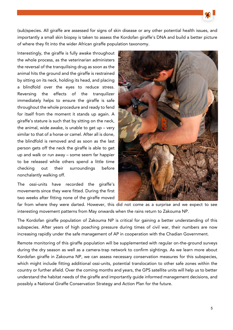(sub)species. All giraffe are assessed for signs of skin disease or any other potential health issues, and importantly a small skin biopsy is taken to assess the Kordofan giraffe's DNA and build a better picture of where they fit into the wider African giraffe population taxonomy.

Interestingly, the giraffe is fully awake throughout the whole process, as the veterinarian administers the reversal of the tranquilising drug as soon as the animal hits the ground and the giraffe is restrained by sitting on its neck, holding its head, and placing a blindfold over the eyes to reduce stress. Reversing the effects of the tranquilizer immediately helps to ensure the giraffe is safe throughout the whole procedure and ready to fend for itself from the moment it stands up again. A giraffe's stature is such that by sitting on the neck, the animal, wide awake, is unable to get up – very similar to that of a horse or camel. After all is done, the blindfold is removed and as soon as the last person gets off the neck the giraffe is able to get up and walk or run away – some seem far happier to be released while others spend a little time checking out their surroundings before nonchalantly walking off.

The ossi-units have recorded the giraffe's movements since they were fitted. During the first two weeks after fitting none of the giraffe moved



far from where they were darted. However, this did not come as a surprise and we expect to see interesting movement patterns from May onwards when the rains return to Zakouma NP.

The Kordofan giraffe population of Zakouma NP is critical for gaining a better understanding of this subspecies. After years of high poaching pressure during times of civil war, their numbers are now increasing rapidly under the safe management of AP in cooperation with the Chadian Government.

Remote monitoring of this giraffe population will be supplemented with regular on-the-ground surveys during the dry season as well as a camera-trap network to confirm sightings. As we learn more about Kordofan giraffe in Zakouma NP, we can assess necessary conservation measures for this subspecies, which might include fitting additional ossi-units, potential translocation to other safe zones within the country or further afield. Over the coming months and years, the GPS satellite units will help us to better understand the habitat needs of the giraffe and importantly guide informed management decisions, and possibly a National Giraffe Conservation Strategy and Action Plan for the future.